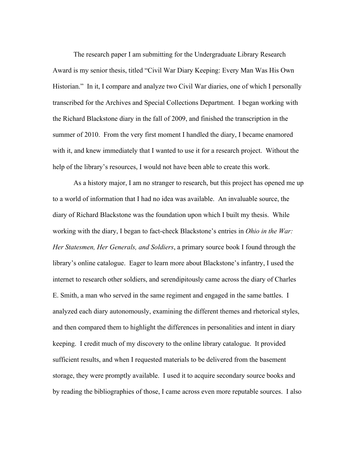The research paper I am submitting for the Undergraduate Library Research Award is my senior thesis, titled "Civil War Diary Keeping: Every Man Was His Own Historian." In it, I compare and analyze two Civil War diaries, one of which I personally transcribed for the Archives and Special Collections Department. I began working with the Richard Blackstone diary in the fall of 2009, and finished the transcription in the summer of 2010. From the very first moment I handled the diary, I became enamored with it, and knew immediately that I wanted to use it for a research project. Without the help of the library's resources, I would not have been able to create this work.

As a history major, I am no stranger to research, but this project has opened me up to a world of information that I had no idea was available. An invaluable source, the diary of Richard Blackstone was the foundation upon which I built my thesis. While working with the diary, I began to fact-check Blackstone's entries in *Ohio in the War: Her Statesmen, Her Generals, and Soldiers*, a primary source book I found through the library's online catalogue. Eager to learn more about Blackstone's infantry, I used the internet to research other soldiers, and serendipitously came across the diary of Charles E. Smith, a man who served in the same regiment and engaged in the same battles. I analyzed each diary autonomously, examining the different themes and rhetorical styles, and then compared them to highlight the differences in personalities and intent in diary keeping. I credit much of my discovery to the online library catalogue. It provided sufficient results, and when I requested materials to be delivered from the basement storage, they were promptly available. I used it to acquire secondary source books and by reading the bibliographies of those, I came across even more reputable sources. I also